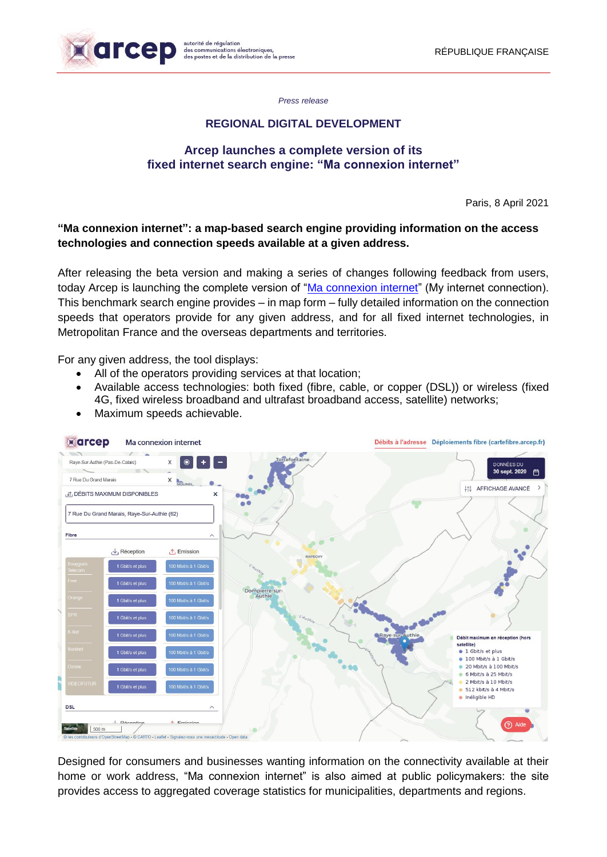

*Press release*

## **REGIONAL DIGITAL DEVELOPMENT**

#### **Arcep launches a complete version of its fixed internet search engine: "Ma connexion internet"**

Paris, 8 April 2021

## **"Ma connexion internet": a map-based search engine providing information on the access technologies and connection speeds available at a given address.**

After releasing the beta version and making a series of changes following feedback from users, today Arcep is launching the complete version of ["Ma connexion internet"](https://maconnexioninternet.arcep.fr/) (My internet connection). This benchmark search engine provides – in map form – fully detailed information on the connection speeds that operators provide for any given address, and for all fixed internet technologies, in Metropolitan France and the overseas departments and territories.

For any given address, the tool displays:

- All of the operators providing services at that location;
- Available access technologies: both fixed (fibre, cable, or copper (DSL)) or wireless (fixed 4G, fixed wireless broadband and ultrafast broadband access, satellite) networks;
- Maximum speeds achievable.



Designed for consumers and businesses wanting information on the connectivity available at their home or work address, "Ma connexion internet" is also aimed at public policymakers: the site provides access to aggregated coverage statistics for municipalities, departments and regions.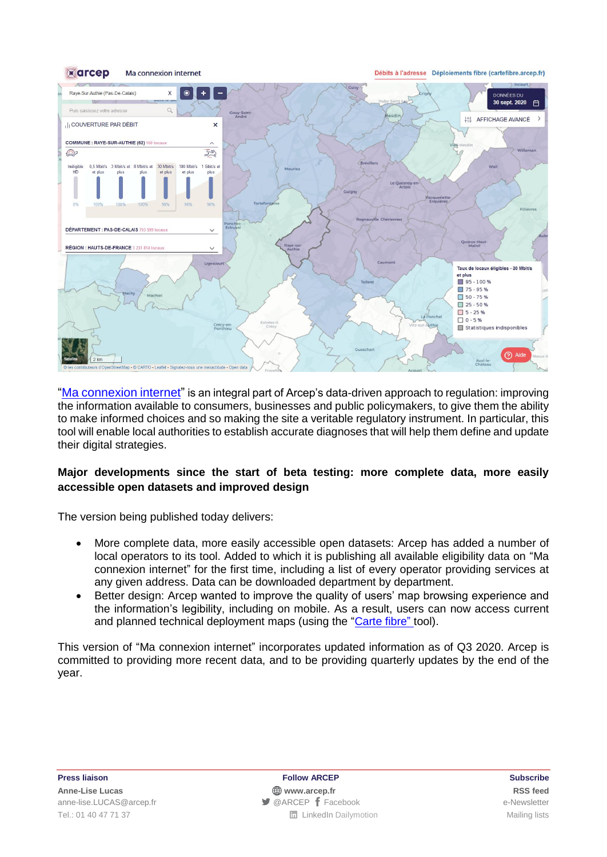

["Ma connexion internet"](https://maconnexioninternet.arcep.fr/) is an integral part of Arcep's data-driven approach to regulation: improving the information available to consumers, businesses and public policymakers, to give them the ability to make informed choices and so making the site a veritable regulatory instrument. In particular, this tool will enable local authorities to establish accurate diagnoses that will help them define and update their digital strategies.

## **Major developments since the start of beta testing: more complete data, more easily accessible open datasets and improved design**

The version being published today delivers:

- More complete data, more easily accessible open datasets: Arcep has added a number of local operators to its tool. Added to which it is publishing all available eligibility data on "Ma connexion internet" for the first time, including a list of every operator providing services at any given address. Data can be downloaded department by department.
- Better design: Arcep wanted to improve the quality of users' map browsing experience and the information's legibility, including on mobile. As a result, users can now access current and planned technical deployment maps (using the ["Carte fibre"](https://cartefibre.arcep.fr/) tool).

This version of "Ma connexion internet" incorporates updated information as of Q3 2020. Arcep is committed to providing more recent data, and to be providing quarterly updates by the end of the year.

**Press liaison Follow ARCEP Subscribe Anne-Lise Lucas [www.arcep.fr](http://www.arcep.fr/) [RSS](/feed/::www.arcep.fr:?eID=tx_rssforge&feedid=2&h=14df1) feed** [anne-lise.LUCAS@arcep.fr](mailto:anne-lise.LUCAS@arcep.fr) ● [@ARCEP](http://www.twitter.com/ARCEP) f [Facebook](https://www.facebook.com/arcep.fr) e-Newsletter Tel.: 01 40 47 71 37 **Tel.: 01 40 47 71 37 Tel.: 01 40 47 71 37 Mailing lists**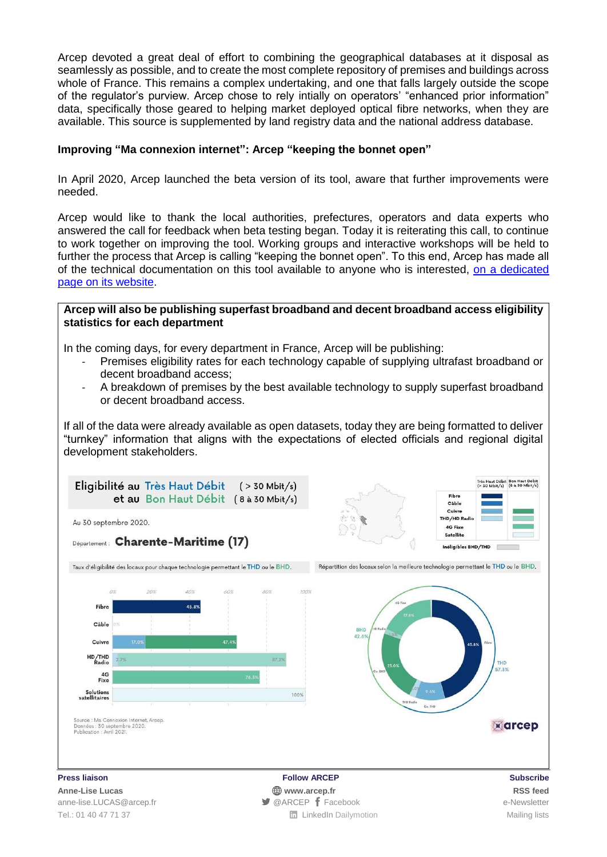Arcep devoted a great deal of effort to combining the geographical databases at it disposal as seamlessly as possible, and to create the most complete repository of premises and buildings across whole of France. This remains a complex undertaking, and one that falls largely outside the scope of the regulator's purview. Arcep chose to rely intially on operators' "enhanced prior information" data, specifically those geared to helping market deployed optical fibre networks, when they are available. This source is supplemented by land registry data and the national address database.

#### **Improving "Ma connexion internet": Arcep "keeping the bonnet open"**

In April 2020, Arcep launched the beta version of its tool, aware that further improvements were needed.

Arcep would like to thank the local authorities, prefectures, operators and data experts who answered the call for feedback when beta testing began. Today it is reiterating this call, to continue to work together on improving the tool. Working groups and interactive workshops will be held to further the process that Arcep is calling "keeping the bonnet open". To this end, Arcep has made all of the technical documentation on this tool available to anyone who is interested, [on a dedicated](https://www.arcep.fr/cartes-et-donnees/nos-cartes/ma-connexion-internet-documentation-technique.html) [page on](https://www.arcep.fr/cartes-et-donnees/nos-cartes/ma-connexion-internet-documentation-technique.html) its website.

#### **Arcep will also be publishing superfast broadband and decent broadband access eligibility statistics for each department**

In the coming days, for every department in France, Arcep will be publishing:

- Premises eligibility rates for each technology capable of supplying ultrafast broadband or decent broadband access;
- A breakdown of premises by the best available technology to supply superfast broadband or decent broadband access.

If all of the data were already available as open datasets, today they are being formatted to deliver "turnkey" information that aligns with the expectations of elected officials and regional digital development stakeholders.